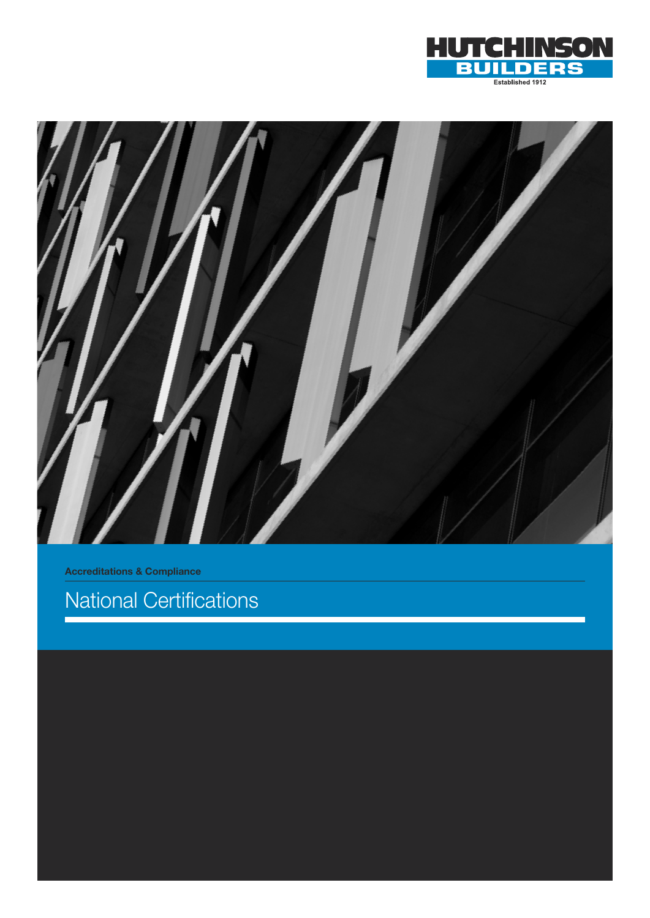



Accreditations & Compliance

# National Certifications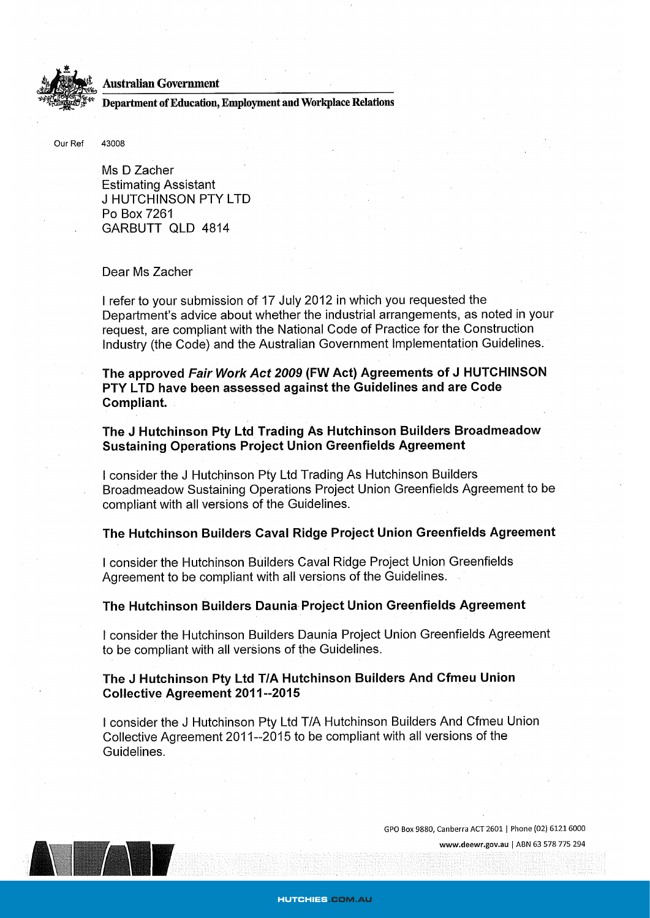

### **Australian Government**

Department of Education, Employment and Workplace Relations

43008 Our Ref

> Ms D Zacher **Estimating Assistant J HUTCHINSON PTY LTD** Po Box 7261 GARBUTT QLD 4814

## Dear Ms Zacher

I refer to your submission of 17 July 2012 in which you requested the Department's advice about whether the industrial arrangements, as noted in your request, are compliant with the National Code of Practice for the Construction Industry (the Code) and the Australian Government Implementation Guidelines.

The approved Fair Work Act 2009 (FW Act) Agreements of J HUTCHINSON PTY LTD have been assessed against the Guidelines and are Code Compliant.

The J Hutchinson Pty Ltd Trading As Hutchinson Builders Broadmeadow **Sustaining Operations Project Union Greenfields Agreement** 

I consider the J Hutchinson Pty Ltd Trading As Hutchinson Builders Broadmeadow Sustaining Operations Project Union Greenfields Agreement to be compliant with all versions of the Guidelines.

# The Hutchinson Builders Caval Ridge Project Union Greenfields Agreement

I consider the Hutchinson Builders Caval Ridge Project Union Greenfields Agreement to be compliant with all versions of the Guidelines.

## The Hutchinson Builders Daunia Project Union Greenfields Agreement

I consider the Hutchinson Builders Daunia Project Union Greenfields Agreement to be compliant with all versions of the Guidelines.

## The J Hutchinson Pty Ltd T/A Hutchinson Builders And Cfmeu Union **Collective Agreement 2011--2015**

I consider the J Hutchinson Pty Ltd T/A Hutchinson Builders And Cfmeu Union Collective Agreement 2011--2015 to be compliant with all versions of the Guidelines.